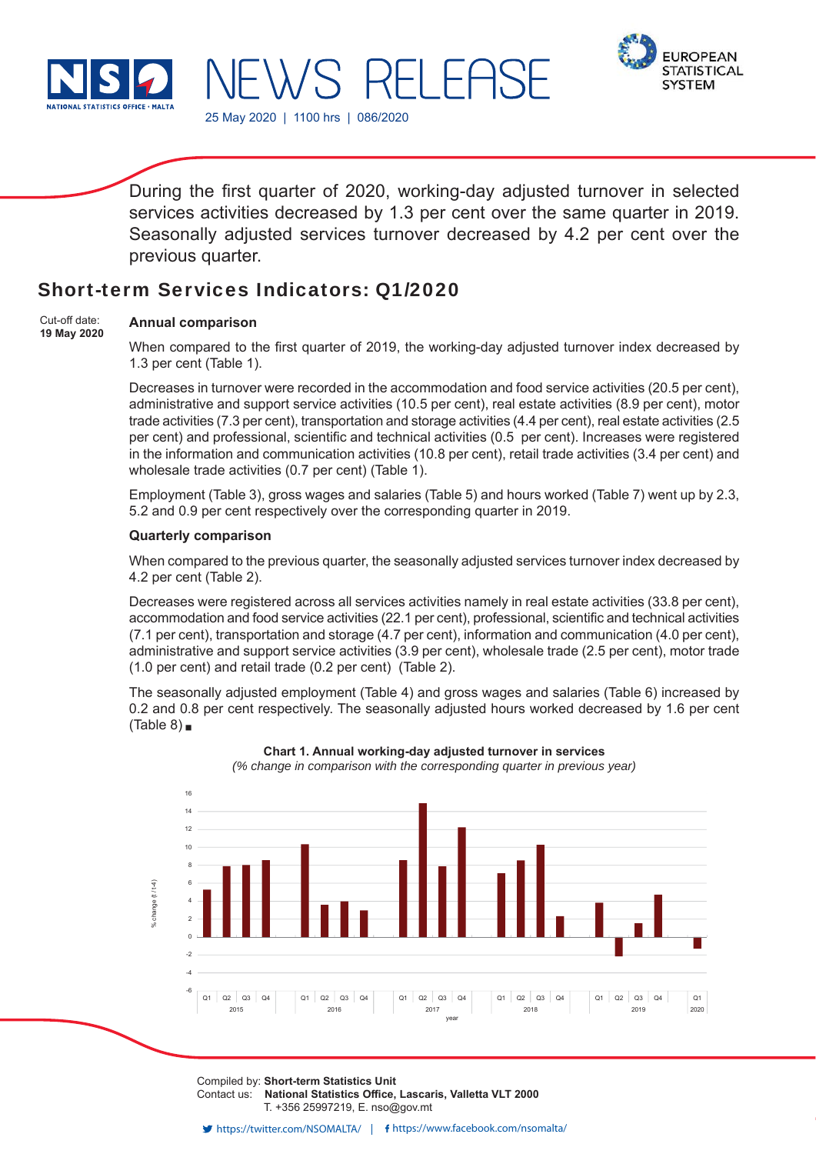



During the first quarter of 2020, working-day adjusted turnover in selected services activities decreased by 1.3 per cent over the same quarter in 2019. Seasonally adjusted services turnover decreased by 4.2 per cent over the previous quarter.

## Short-term Services Indicators: Q1/2020

25 May 2020 | 1100 hrs | 086/2020

S RI

#### **Annual comparison**  Cut-off date:

**19 May 2020**

When compared to the first quarter of 2019, the working-day adjusted turnover index decreased by 1.3 per cent (Table 1).

Decreases in turnover were recorded in the accommodation and food service activities (20.5 per cent), administrative and support service activities (10.5 per cent), real estate activities (8.9 per cent), motor trade activities (7.3 per cent), transportation and storage activities (4.4 per cent), real estate activities (2.5 per cent) and professional, scientific and technical activities (0.5 per cent). Increases were registered in the information and communication activities (10.8 per cent), retail trade activities (3.4 per cent) and wholesale trade activities (0.7 per cent) (Table 1).

Employment (Table 3), gross wages and salaries (Table 5) and hours worked (Table 7) went up by 2.3, 5.2 and 0.9 per cent respectively over the corresponding quarter in 2019.

## **Quarterly comparison**

When compared to the previous quarter, the seasonally adjusted services turnover index decreased by 4.2 per cent (Table 2).

Decreases were registered across all services activities namely in real estate activities (33.8 per cent), accommodation and food service activities (22.1 per cent), professional, scientific and technical activities (7.1 per cent), transportation and storage (4.7 per cent), information and communication (4.0 per cent), administrative and support service activities (3.9 per cent), wholesale trade (2.5 per cent), motor trade (1.0 per cent) and retail trade (0.2 per cent) (Table 2).

The seasonally adjusted employment (Table 4) and gross wages and salaries (Table 6) increased by 0.2 and 0.8 per cent respectively. The seasonally adjusted hours worked decreased by 1.6 per cent (Table  $8$ )



**Chart 1. Annual working-day adjusted turnover in services** *(% change in comparison with the corresponding quarter in previous year)*

Compiled by: **Short-term Statistics Unit** Contact us: National Statistics Office, Lascaris, Valletta VLT 2000 T. +356 25997219, E. nso@gov.mt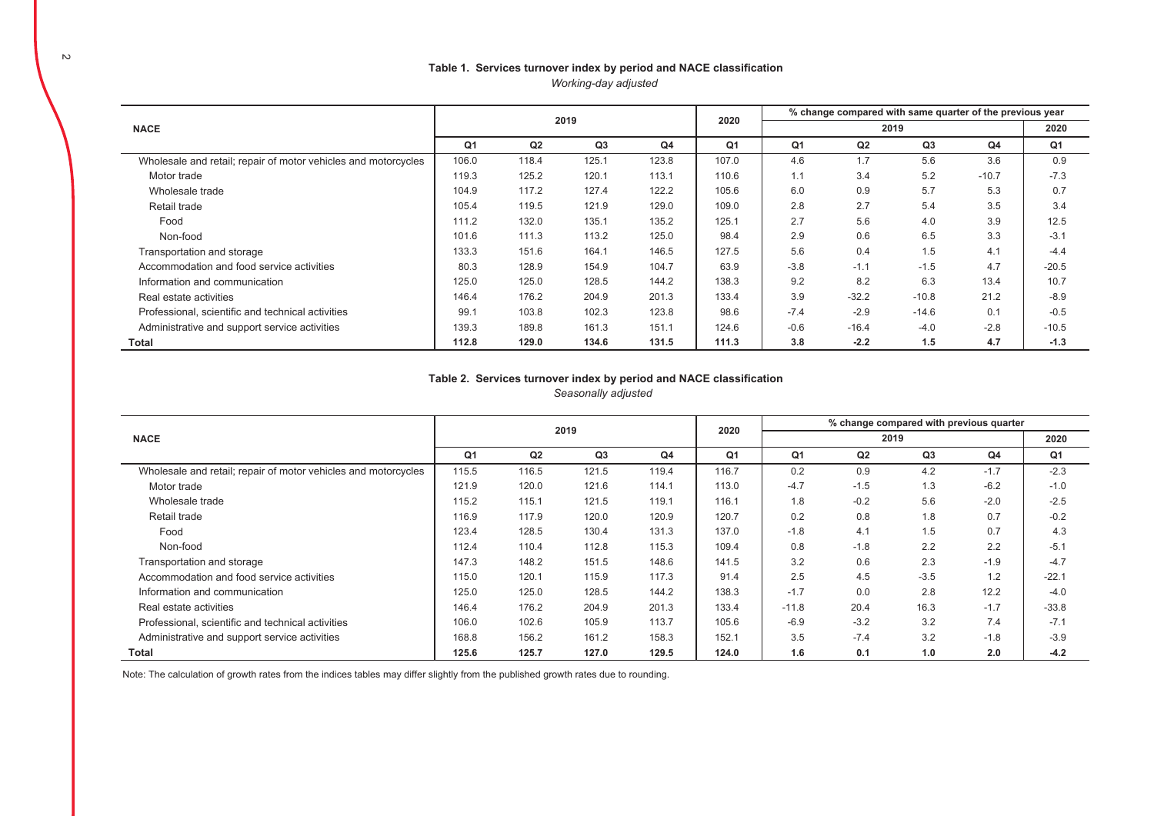### Table 1. Services turnover index by period and NACE classification *Working-day adjusted*

|                                                                |                |       | 2019  |                | 2020           | % change compared with same quarter of the previous year |         |         |                |         |  |  |  |
|----------------------------------------------------------------|----------------|-------|-------|----------------|----------------|----------------------------------------------------------|---------|---------|----------------|---------|--|--|--|
| <b>NACE</b>                                                    |                |       |       |                |                |                                                          |         | 2020    |                |         |  |  |  |
|                                                                | Q <sub>1</sub> | Q2    | Q3    | Q <sub>4</sub> | Q <sub>1</sub> | Q <sub>1</sub>                                           | Q2      | Q3      | Q <sub>4</sub> | Q1      |  |  |  |
| Wholesale and retail; repair of motor vehicles and motorcycles | 106.0          | 118.4 | 125.1 | 123.8          | 107.0          | 4.6                                                      | 1.7     | 5.6     | 3.6            | 0.9     |  |  |  |
| Motor trade                                                    | 119.3          | 125.2 | 120.1 | 113.1          | 110.6          | 1.1                                                      | 3.4     | 5.2     | $-10.7$        | $-7.3$  |  |  |  |
| Wholesale trade                                                | 104.9          | 117.2 | 127.4 | 122.2          | 105.6          | 6.0                                                      | 0.9     | 5.7     | 5.3            | 0.7     |  |  |  |
| Retail trade                                                   | 105.4          | 119.5 | 121.9 | 129.0          | 109.0          | 2.8                                                      | 2.7     | 5.4     | 3.5            | 3.4     |  |  |  |
| Food                                                           | 111.2          | 132.0 | 135.1 | 135.2          | 125.1          | 2.7                                                      | 5.6     | 4.0     | 3.9            | 12.5    |  |  |  |
| Non-food                                                       | 101.6          | 111.3 | 113.2 | 125.0          | 98.4           | 2.9                                                      | 0.6     | 6.5     | 3.3            | $-3.1$  |  |  |  |
| Transportation and storage                                     | 133.3          | 151.6 | 164.1 | 146.5          | 127.5          | 5.6                                                      | 0.4     | 1.5     | 4.1            | $-4.4$  |  |  |  |
| Accommodation and food service activities                      | 80.3           | 128.9 | 154.9 | 104.7          | 63.9           | $-3.8$                                                   | $-1.1$  | $-1.5$  | 4.7            | $-20.5$ |  |  |  |
| Information and communication                                  | 125.0          | 125.0 | 128.5 | 144.2          | 138.3          | 9.2                                                      | 8.2     | 6.3     | 13.4           | 10.7    |  |  |  |
| Real estate activities                                         | 146.4          | 176.2 | 204.9 | 201.3          | 133.4          | 3.9                                                      | $-32.2$ | $-10.8$ | 21.2           | $-8.9$  |  |  |  |
| Professional, scientific and technical activities              | 99.1           | 103.8 | 102.3 | 123.8          | 98.6           | $-7.4$                                                   | $-2.9$  | $-14.6$ | 0.1            | $-0.5$  |  |  |  |
| Administrative and support service activities                  | 139.3          | 189.8 | 161.3 | 151.1          | 124.6          | $-0.6$                                                   | $-16.4$ | $-4.0$  | $-2.8$         | $-10.5$ |  |  |  |
| Total                                                          | 112.8          | 129.0 | 134.6 | 131.5          | 111.3          | 3.8                                                      | $-2.2$  | 1.5     | 4.7            | $-1.3$  |  |  |  |

#### Table 2. Services turnover index by period and NACE classification *Seasonally adjusted*

|                                                                |       |       |       |                |       |         |        | % change compared with previous quarter |        |         |
|----------------------------------------------------------------|-------|-------|-------|----------------|-------|---------|--------|-----------------------------------------|--------|---------|
| <b>NACE</b>                                                    | 2019  |       |       |                | 2020  |         |        | 2020                                    |        |         |
|                                                                | Q1    | Q2    | Q3    | Q <sub>4</sub> | Q1    | Q1      | Q2     | Q3                                      | Q4     | Q1      |
| Wholesale and retail; repair of motor vehicles and motorcycles | 115.5 | 116.5 | 121.5 | 119.4          | 116.7 | 0.2     | 0.9    | 4.2                                     | $-1.7$ | $-2.3$  |
| Motor trade                                                    | 121.9 | 120.0 | 121.6 | 114.1          | 113.0 | $-4.7$  | $-1.5$ | 1.3                                     | $-6.2$ | $-1.0$  |
| Wholesale trade                                                | 115.2 | 115.1 | 121.5 | 119.1          | 116.1 | 1.8     | $-0.2$ | 5.6                                     | $-2.0$ | $-2.5$  |
| Retail trade                                                   | 116.9 | 117.9 | 120.0 | 120.9          | 120.7 | 0.2     | 0.8    | 1.8                                     | 0.7    | $-0.2$  |
| Food                                                           | 123.4 | 128.5 | 130.4 | 131.3          | 137.0 | $-1.8$  | 4.1    | 1.5                                     | 0.7    | 4.3     |
| Non-food                                                       | 112.4 | 110.4 | 112.8 | 115.3          | 109.4 | 0.8     | $-1.8$ | 2.2                                     | 2.2    | $-5.1$  |
| Transportation and storage                                     | 147.3 | 148.2 | 151.5 | 148.6          | 141.5 | 3.2     | 0.6    | 2.3                                     | $-1.9$ | $-4.7$  |
| Accommodation and food service activities                      | 115.0 | 120.1 | 115.9 | 117.3          | 91.4  | 2.5     | 4.5    | $-3.5$                                  | 1.2    | $-22.1$ |
| Information and communication                                  | 125.0 | 125.0 | 128.5 | 144.2          | 138.3 | $-1.7$  | 0.0    | 2.8                                     | 12.2   | $-4.0$  |
| Real estate activities                                         | 146.4 | 176.2 | 204.9 | 201.3          | 133.4 | $-11.8$ | 20.4   | 16.3                                    | $-1.7$ | $-33.8$ |
| Professional, scientific and technical activities              | 106.0 | 102.6 | 105.9 | 113.7          | 105.6 | $-6.9$  | $-3.2$ | 3.2                                     | 7.4    | $-7.1$  |
| Administrative and support service activities                  | 168.8 | 156.2 | 161.2 | 158.3          | 152.1 | 3.5     | $-7.4$ | 3.2                                     | $-1.8$ | $-3.9$  |
| <b>Total</b>                                                   | 125.6 | 125.7 | 127.0 | 129.5          | 124.0 | 1.6     | 0.1    | 1.0                                     | 2.0    | $-4.2$  |

Note: The calculation of growth rates from the indices tables may differ slightly from the published growth rates due to rounding.

 $\overline{a}$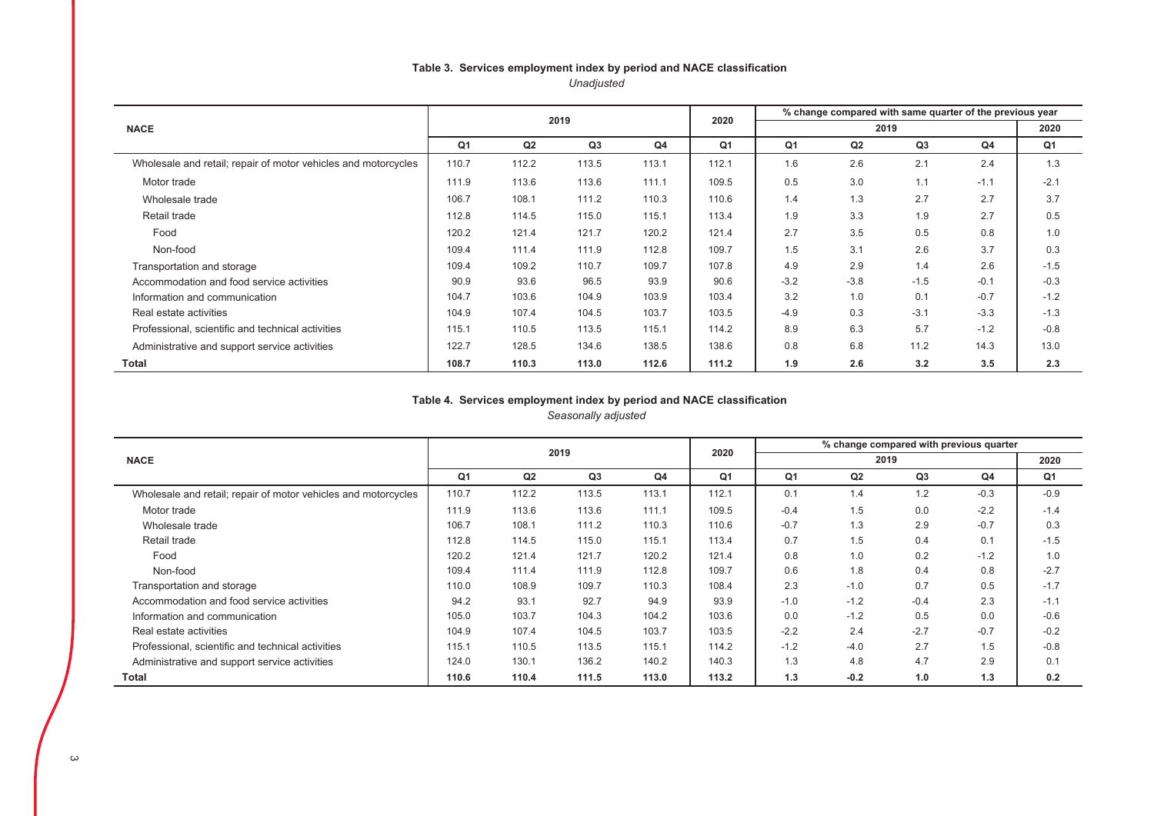### Table 3. Services employment index by period and NACE classification *Unadjusted*

|                                                                |                                                    |       | 2019  |       | 2020  | % change compared with same quarter of the previous year |        |        |        |        |  |  |  |
|----------------------------------------------------------------|----------------------------------------------------|-------|-------|-------|-------|----------------------------------------------------------|--------|--------|--------|--------|--|--|--|
| <b>NACE</b>                                                    |                                                    |       |       |       |       |                                                          |        | 2020   |        |        |  |  |  |
|                                                                | Q <sub>1</sub><br>Q3<br>Q4<br>Q <sub>1</sub><br>Q2 |       |       | Q1    | Q2    | Q <sub>3</sub>                                           | Q4     | Q1     |        |        |  |  |  |
| Wholesale and retail; repair of motor vehicles and motorcycles | 110.7                                              | 112.2 | 113.5 | 113.1 | 112.1 | 1.6                                                      | 2.6    | 2.1    | 2.4    | 1.3    |  |  |  |
| Motor trade                                                    | 111.9                                              | 113.6 | 113.6 | 111.1 | 109.5 | 0.5                                                      | 3.0    | 1.1    | $-1.1$ | $-2.1$ |  |  |  |
| Wholesale trade                                                | 106.7                                              | 108.1 | 111.2 | 110.3 | 110.6 | 1.4                                                      | 1.3    | 2.7    | 2.7    | 3.7    |  |  |  |
| Retail trade                                                   | 112.8                                              | 114.5 | 115.0 | 115.1 | 113.4 | 1.9                                                      | 3.3    | 1.9    | 2.7    | 0.5    |  |  |  |
| Food                                                           | 120.2                                              | 121.4 | 121.7 | 120.2 | 121.4 | 2.7                                                      | 3.5    | 0.5    | 0.8    | 1.0    |  |  |  |
| Non-food                                                       | 109.4                                              | 111.4 | 111.9 | 112.8 | 109.7 | 1.5                                                      | 3.1    | 2.6    | 3.7    | 0.3    |  |  |  |
| Transportation and storage                                     | 109.4                                              | 109.2 | 110.7 | 109.7 | 107.8 | 4.9                                                      | 2.9    | 1.4    | 2.6    | $-1.5$ |  |  |  |
| Accommodation and food service activities                      | 90.9                                               | 93.6  | 96.5  | 93.9  | 90.6  | $-3.2$                                                   | $-3.8$ | $-1.5$ | $-0.1$ | $-0.3$ |  |  |  |
| Information and communication                                  | 104.7                                              | 103.6 | 104.9 | 103.9 | 103.4 | 3.2                                                      | 1.0    | 0.1    | $-0.7$ | $-1.2$ |  |  |  |
| Real estate activities                                         | 104.9                                              | 107.4 | 104.5 | 103.7 | 103.5 | $-4.9$                                                   | 0.3    | $-3.1$ | $-3.3$ | $-1.3$ |  |  |  |
| Professional, scientific and technical activities              | 115.1                                              | 110.5 | 113.5 | 115.1 | 114.2 | 8.9                                                      | 6.3    | 5.7    | $-1.2$ | $-0.8$ |  |  |  |
| Administrative and support service activities                  | 122.7                                              | 128.5 | 134.6 | 138.5 | 138.6 | 0.8                                                      | 6.8    | 11.2   | 14.3   | 13.0   |  |  |  |
| <b>Total</b>                                                   | 108.7                                              | 110.3 | 113.0 | 112.6 | 111.2 | 1.9                                                      | 2.6    | 3.2    | 3.5    | 2.3    |  |  |  |

#### Table 4. Services employment index by period and NACE classification *Seasonally adjusted*

|                                                                |                |                | 2019  |       | 2020  |        | % change compared with previous quarter |                |                |        |
|----------------------------------------------------------------|----------------|----------------|-------|-------|-------|--------|-----------------------------------------|----------------|----------------|--------|
| <b>NACE</b>                                                    |                |                |       |       |       |        | 2020                                    |                |                |        |
|                                                                | Q <sub>1</sub> | Q <sub>2</sub> | Q3    | Q4    | Q1    | Q1     | Q2                                      | Q <sub>3</sub> | Q <sub>4</sub> | Q1     |
| Wholesale and retail; repair of motor vehicles and motorcycles | 110.7          | 112.2          | 113.5 | 113.1 | 112.1 | 0.1    | 1.4                                     | 1.2            | $-0.3$         | $-0.9$ |
| Motor trade                                                    | 111.9          | 113.6          | 113.6 | 111.1 | 109.5 | $-0.4$ | 1.5                                     | 0.0            | $-2.2$         | $-1.4$ |
| Wholesale trade                                                | 106.7          | 108.1          | 111.2 | 110.3 | 110.6 | $-0.7$ | 1.3                                     | 2.9            | $-0.7$         | 0.3    |
| Retail trade                                                   | 112.8          | 114.5          | 115.0 | 115.1 | 113.4 | 0.7    | 1.5                                     | 0.4            | 0.1            | $-1.5$ |
| Food                                                           | 120.2          | 121.4          | 121.7 | 120.2 | 121.4 | 0.8    | 1.0                                     | 0.2            | $-1.2$         | 1.0    |
| Non-food                                                       | 109.4          | 111.4          | 111.9 | 112.8 | 109.7 | 0.6    | 1.8                                     | 0.4            | 0.8            | $-2.7$ |
| Transportation and storage                                     | 110.0          | 108.9          | 109.7 | 110.3 | 108.4 | 2.3    | $-1.0$                                  | 0.7            | 0.5            | $-1.7$ |
| Accommodation and food service activities                      | 94.2           | 93.1           | 92.7  | 94.9  | 93.9  | $-1.0$ | $-1.2$                                  | $-0.4$         | 2.3            | $-1.1$ |
| Information and communication                                  | 105.0          | 103.7          | 104.3 | 104.2 | 103.6 | 0.0    | $-1.2$                                  | 0.5            | 0.0            | $-0.6$ |
| Real estate activities                                         | 104.9          | 107.4          | 104.5 | 103.7 | 103.5 | $-2.2$ | 2.4                                     | $-2.7$         | $-0.7$         | $-0.2$ |
| Professional, scientific and technical activities              | 115.1          | 110.5          | 113.5 | 115.1 | 114.2 | $-1.2$ | $-4.0$                                  | 2.7            | 1.5            | $-0.8$ |
| Administrative and support service activities                  | 124.0          | 130.1          | 136.2 | 140.2 | 140.3 | 1.3    | 4.8                                     | 4.7            | 2.9            | 0.1    |
| Total                                                          | 110.6          | 110.4          | 111.5 | 113.0 | 113.2 | 1.3    | $-0.2$                                  | 1.0            | 1.3            | 0.2    |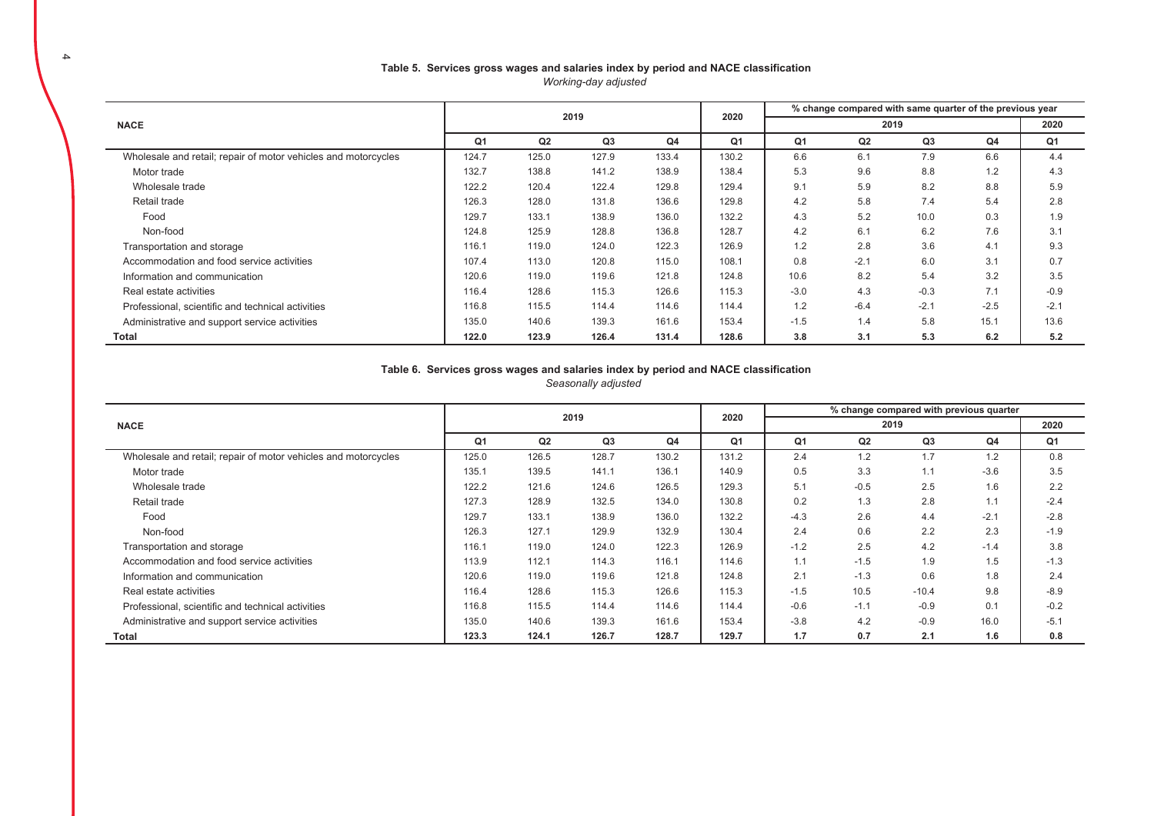#### Table 5. Services gross wages and salaries index by period and NACE classification *Working-day adjusted*

|                                                                |       |       | 2019  |       | 2020           | % change compared with same quarter of the previous year |        |                |                |        |  |  |
|----------------------------------------------------------------|-------|-------|-------|-------|----------------|----------------------------------------------------------|--------|----------------|----------------|--------|--|--|
| <b>NACE</b>                                                    |       |       |       |       |                | 2019                                                     |        |                |                | 2020   |  |  |
|                                                                | Q1    | Q2    | Q3    | Q4    | Q <sub>1</sub> | Q <sub>1</sub>                                           | Q2     | Q <sub>3</sub> | Q <sub>4</sub> | Q1     |  |  |
| Wholesale and retail; repair of motor vehicles and motorcycles | 124.7 | 125.0 | 127.9 | 133.4 | 130.2          | 6.6                                                      | 6.1    | 7.9            | 6.6            | 4.4    |  |  |
| Motor trade                                                    | 132.7 | 138.8 | 141.2 | 138.9 | 138.4          | 5.3                                                      | 9.6    | 8.8            | 1.2            | 4.3    |  |  |
| Wholesale trade                                                | 122.2 | 120.4 | 122.4 | 129.8 | 129.4          | 9.1                                                      | 5.9    | 8.2            | 8.8            | 5.9    |  |  |
| Retail trade                                                   | 126.3 | 128.0 | 131.8 | 136.6 | 129.8          | 4.2                                                      | 5.8    | 7.4            | 5.4            | 2.8    |  |  |
| Food                                                           | 129.7 | 133.1 | 138.9 | 136.0 | 132.2          | 4.3                                                      | 5.2    | 10.0           | 0.3            | 1.9    |  |  |
| Non-food                                                       | 124.8 | 125.9 | 128.8 | 136.8 | 128.7          | 4.2                                                      | 6.1    | 6.2            | 7.6            | 3.1    |  |  |
| Transportation and storage                                     | 116.1 | 119.0 | 124.0 | 122.3 | 126.9          | 1.2                                                      | 2.8    | 3.6            | 4.1            | 9.3    |  |  |
| Accommodation and food service activities                      | 107.4 | 113.0 | 120.8 | 115.0 | 108.1          | 0.8                                                      | $-2.1$ | 6.0            | 3.1            | 0.7    |  |  |
| Information and communication                                  | 120.6 | 119.0 | 119.6 | 121.8 | 124.8          | 10.6                                                     | 8.2    | 5.4            | 3.2            | 3.5    |  |  |
| Real estate activities                                         | 116.4 | 128.6 | 115.3 | 126.6 | 115.3          | $-3.0$                                                   | 4.3    | $-0.3$         | 7.1            | $-0.9$ |  |  |
| Professional, scientific and technical activities              | 116.8 | 115.5 | 114.4 | 114.6 | 114.4          | 1.2                                                      | $-6.4$ | $-2.1$         | $-2.5$         | $-2.1$ |  |  |
| Administrative and support service activities                  | 135.0 | 140.6 | 139.3 | 161.6 | 153.4          | $-1.5$                                                   | 1.4    | 5.8            | 15.1           | 13.6   |  |  |
| Total                                                          | 122.0 | 123.9 | 126.4 | 131.4 | 128.6          | 3.8                                                      | 3.1    | 5.3            | 6.2            | 5.2    |  |  |

#### Table 6. Services gross wages and salaries index by period and NACE classification

*Seasonally adjusted* 

|                                                                |                |       |                |                |                | % change compared with previous quarter |        |         |        |        |  |  |
|----------------------------------------------------------------|----------------|-------|----------------|----------------|----------------|-----------------------------------------|--------|---------|--------|--------|--|--|
| <b>NACE</b>                                                    |                |       | 2019           |                | 2020           |                                         |        | 2019    |        | 2020   |  |  |
|                                                                | Q <sub>1</sub> | Q2    | Q <sub>3</sub> | Q <sub>4</sub> | Q <sub>1</sub> | Q <sub>1</sub>                          | Q2     | Q3      | Q4     | Q1     |  |  |
| Wholesale and retail; repair of motor vehicles and motorcycles | 125.0          | 126.5 | 128.7          | 130.2          | 131.2          | 2.4                                     | 1.2    | 1.7     | 1.2    | 0.8    |  |  |
| Motor trade                                                    | 135.1          | 139.5 | 141.1          | 136.1          | 140.9          | 0.5                                     | 3.3    | 1.1     | $-3.6$ | 3.5    |  |  |
| Wholesale trade                                                | 122.2          | 121.6 | 124.6          | 126.5          | 129.3          | 5.1                                     | $-0.5$ | 2.5     | 1.6    | 2.2    |  |  |
| Retail trade                                                   | 127.3          | 128.9 | 132.5          | 134.0          | 130.8          | 0.2                                     | 1.3    | 2.8     | 1.1    | $-2.4$ |  |  |
| Food                                                           | 129.7          | 133.1 | 138.9          | 136.0          | 132.2          | $-4.3$                                  | 2.6    | 4.4     | $-2.1$ | $-2.8$ |  |  |
| Non-food                                                       | 126.3          | 127.1 | 129.9          | 132.9          | 130.4          | 2.4                                     | 0.6    | 2.2     | 2.3    | $-1.9$ |  |  |
| Transportation and storage                                     | 116.1          | 119.0 | 124.0          | 122.3          | 126.9          | $-1.2$                                  | 2.5    | 4.2     | $-1.4$ | 3.8    |  |  |
| Accommodation and food service activities                      | 113.9          | 112.1 | 114.3          | 116.1          | 114.6          | 1.1                                     | $-1.5$ | 1.9     | 1.5    | $-1.3$ |  |  |
| Information and communication                                  | 120.6          | 119.0 | 119.6          | 121.8          | 124.8          | 2.1                                     | $-1.3$ | 0.6     | 1.8    | 2.4    |  |  |
| Real estate activities                                         | 116.4          | 128.6 | 115.3          | 126.6          | 115.3          | $-1.5$                                  | 10.5   | $-10.4$ | 9.8    | $-8.9$ |  |  |
| Professional, scientific and technical activities              | 116.8          | 115.5 | 114.4          | 114.6          | 114.4          | $-0.6$                                  | $-1.1$ | $-0.9$  | 0.1    | $-0.2$ |  |  |
| Administrative and support service activities                  | 135.0          | 140.6 | 139.3          | 161.6          | 153.4          | $-3.8$                                  | 4.2    | $-0.9$  | 16.0   | $-5.1$ |  |  |
| Total                                                          | 123.3          | 124.1 | 126.7          | 128.7          | 129.7          | 1.7                                     | 0.7    | 2.1     | 1.6    | 0.8    |  |  |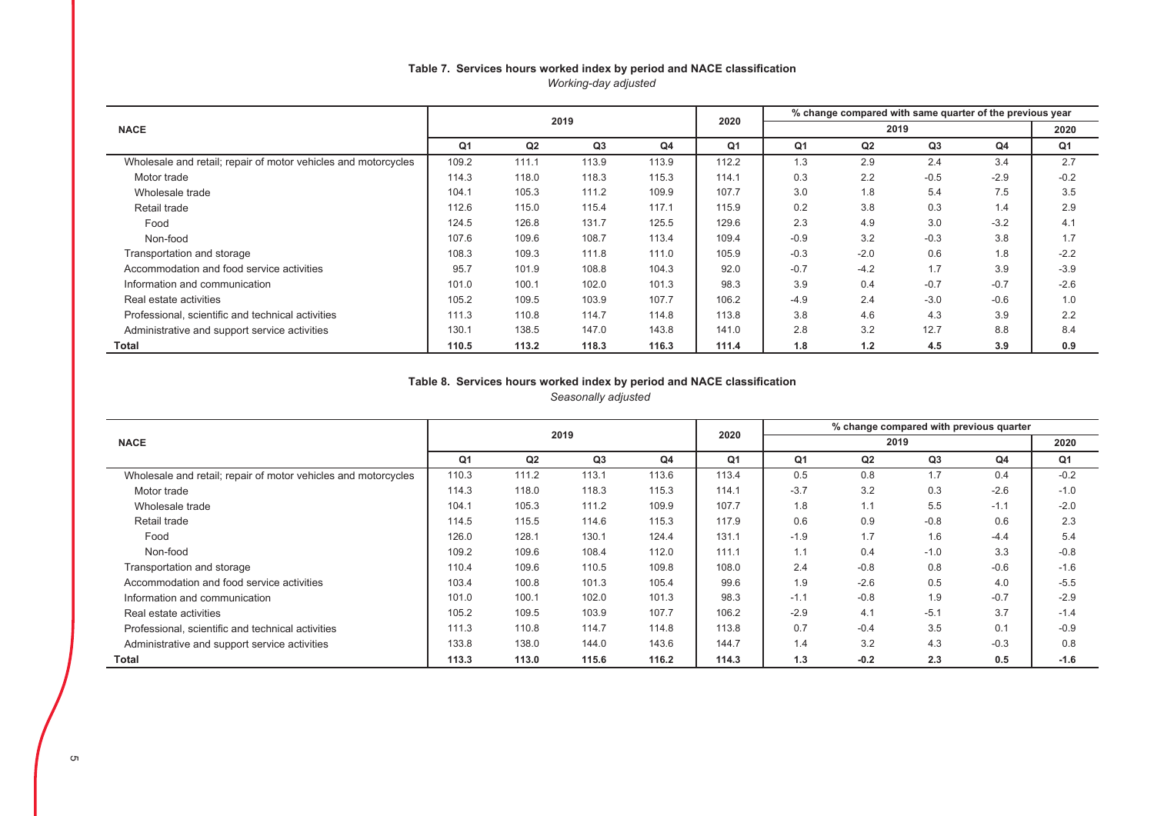#### Table 7. Services hours worked index by period and NACE classification *Working-day adjusted*

|                                                                |       |       | 2019  |       | 2020           | % change compared with same quarter of the previous year |                |        |                |                |  |  |
|----------------------------------------------------------------|-------|-------|-------|-------|----------------|----------------------------------------------------------|----------------|--------|----------------|----------------|--|--|
| <b>NACE</b>                                                    |       |       |       |       |                |                                                          |                | 2020   |                |                |  |  |
|                                                                | Q1    | Q2    | Q3    | Q4    | Q <sub>1</sub> | Q1                                                       | Q <sub>2</sub> | Q3     | Q <sub>4</sub> | Q <sub>1</sub> |  |  |
| Wholesale and retail; repair of motor vehicles and motorcycles | 109.2 | 111.1 | 113.9 | 113.9 | 112.2          | 1.3                                                      | 2.9            | 2.4    | 3.4            | 2.7            |  |  |
| Motor trade                                                    | 114.3 | 118.0 | 118.3 | 115.3 | 114.1          | 0.3                                                      | 2.2            | $-0.5$ | $-2.9$         | $-0.2$         |  |  |
| Wholesale trade                                                | 104.1 | 105.3 | 111.2 | 109.9 | 107.7          | 3.0                                                      | 1.8            | 5.4    | 7.5            | 3.5            |  |  |
| Retail trade                                                   | 112.6 | 115.0 | 115.4 | 117.1 | 115.9          | 0.2                                                      | 3.8            | 0.3    | 1.4            | 2.9            |  |  |
| Food                                                           | 124.5 | 126.8 | 131.7 | 125.5 | 129.6          | 2.3                                                      | 4.9            | 3.0    | $-3.2$         | 4.1            |  |  |
| Non-food                                                       | 107.6 | 109.6 | 108.7 | 113.4 | 109.4          | $-0.9$                                                   | 3.2            | $-0.3$ | 3.8            | 1.7            |  |  |
| Transportation and storage                                     | 108.3 | 109.3 | 111.8 | 111.0 | 105.9          | $-0.3$                                                   | $-2.0$         | 0.6    | 1.8            | $-2.2$         |  |  |
| Accommodation and food service activities                      | 95.7  | 101.9 | 108.8 | 104.3 | 92.0           | $-0.7$                                                   | $-4.2$         | 1.7    | 3.9            | $-3.9$         |  |  |
| Information and communication                                  | 101.0 | 100.1 | 102.0 | 101.3 | 98.3           | 3.9                                                      | 0.4            | $-0.7$ | $-0.7$         | $-2.6$         |  |  |
| Real estate activities                                         | 105.2 | 109.5 | 103.9 | 107.7 | 106.2          | $-4.9$                                                   | 2.4            | $-3.0$ | $-0.6$         | 1.0            |  |  |
| Professional, scientific and technical activities              | 111.3 | 110.8 | 114.7 | 114.8 | 113.8          | 3.8                                                      | 4.6            | 4.3    | 3.9            | 2.2            |  |  |
| Administrative and support service activities                  | 130.1 | 138.5 | 147.0 | 143.8 | 141.0          | 2.8                                                      | 3.2            | 12.7   | 8.8            | 8.4            |  |  |
| Total                                                          | 110.5 | 113.2 | 118.3 | 116.3 | 111.4          | 1.8                                                      | 1.2            | 4.5    | 3.9            | 0.9            |  |  |

# Table 8. Services hours worked index by period and NACE classification

*Seasonally adjusted* 

|                                                                |       |       | 2019  |                | 2020           | % change compared with previous quarter |                |                |                |                |  |  |
|----------------------------------------------------------------|-------|-------|-------|----------------|----------------|-----------------------------------------|----------------|----------------|----------------|----------------|--|--|
| <b>NACE</b>                                                    |       |       |       |                |                |                                         |                | 2020           |                |                |  |  |
|                                                                | Q1    | Q2    | Q3    | Q <sub>4</sub> | Q <sub>1</sub> | Q1                                      | Q <sub>2</sub> | Q <sub>3</sub> | Q <sub>4</sub> | Q <sub>1</sub> |  |  |
| Wholesale and retail; repair of motor vehicles and motorcycles | 110.3 | 111.2 | 113.1 | 113.6          | 113.4          | 0.5                                     | 0.8            | 1.7            | 0.4            | $-0.2$         |  |  |
| Motor trade                                                    | 114.3 | 118.0 | 118.3 | 115.3          | 114.1          | $-3.7$                                  | 3.2            | 0.3            | $-2.6$         | $-1.0$         |  |  |
| Wholesale trade                                                | 104.1 | 105.3 | 111.2 | 109.9          | 107.7          | 1.8                                     | 1.1            | 5.5            | $-1.1$         | $-2.0$         |  |  |
| Retail trade                                                   | 114.5 | 115.5 | 114.6 | 115.3          | 117.9          | 0.6                                     | 0.9            | $-0.8$         | 0.6            | 2.3            |  |  |
| Food                                                           | 126.0 | 128.1 | 130.1 | 124.4          | 131.1          | $-1.9$                                  | 1.7            | 1.6            | $-4.4$         | 5.4            |  |  |
| Non-food                                                       | 109.2 | 109.6 | 108.4 | 112.0          | 111.1          | 1.1                                     | 0.4            | $-1.0$         | 3.3            | $-0.8$         |  |  |
| Transportation and storage                                     | 110.4 | 109.6 | 110.5 | 109.8          | 108.0          | 2.4                                     | $-0.8$         | 0.8            | $-0.6$         | $-1.6$         |  |  |
| Accommodation and food service activities                      | 103.4 | 100.8 | 101.3 | 105.4          | 99.6           | 1.9                                     | $-2.6$         | 0.5            | 4.0            | $-5.5$         |  |  |
| Information and communication                                  | 101.0 | 100.1 | 102.0 | 101.3          | 98.3           | $-1.1$                                  | $-0.8$         | 1.9            | $-0.7$         | $-2.9$         |  |  |
| Real estate activities                                         | 105.2 | 109.5 | 103.9 | 107.7          | 106.2          | $-2.9$                                  | 4.1            | $-5.1$         | 3.7            | $-1.4$         |  |  |
| Professional, scientific and technical activities              | 111.3 | 110.8 | 114.7 | 114.8          | 113.8          | 0.7                                     | $-0.4$         | 3.5            | 0.1            | $-0.9$         |  |  |
| Administrative and support service activities                  | 133.8 | 138.0 | 144.0 | 143.6          | 144.7          | 1.4                                     | 3.2            | 4.3            | $-0.3$         | 0.8            |  |  |
| Total                                                          | 113.3 | 113.0 | 115.6 | 116.2          | 114.3          | 1.3                                     | $-0.2$         | 2.3            | 0.5            | $-1.6$         |  |  |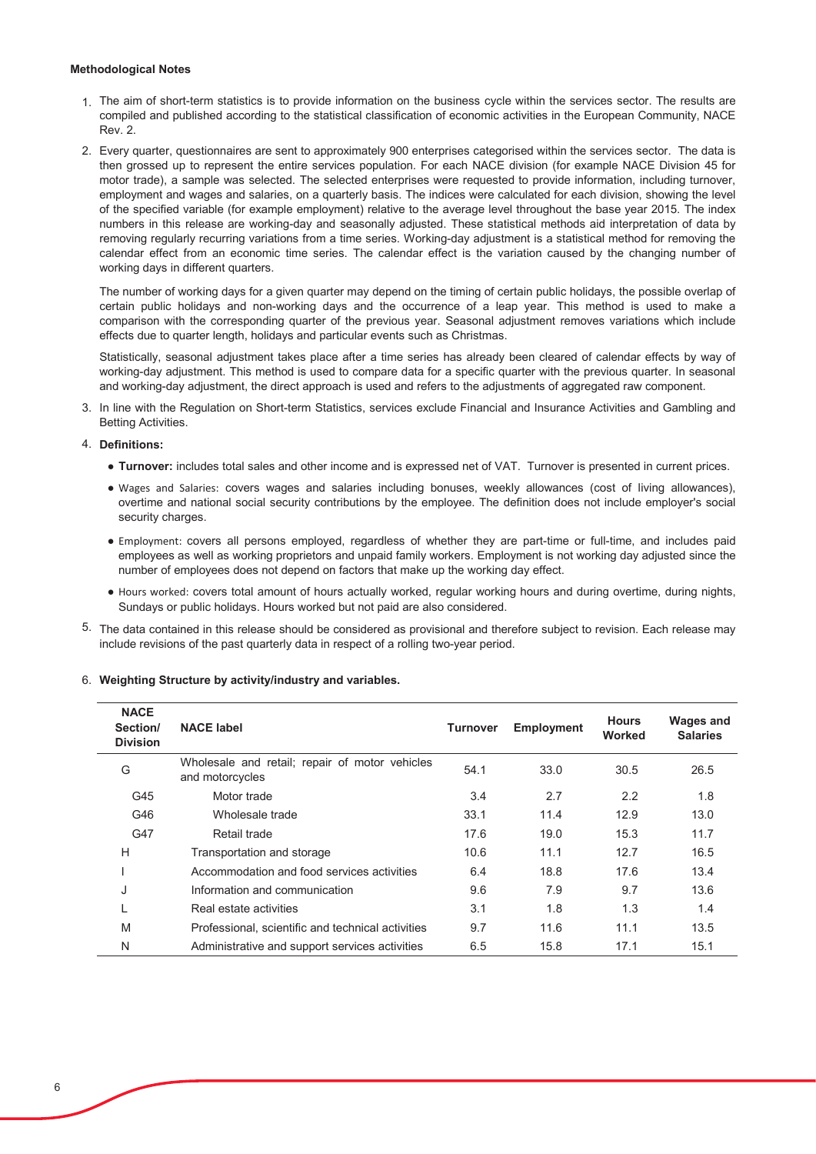#### **Methodological Notes**

- 1 The aim of short-term statistics is to provide information on the business cycle within the services sector. The results are compiled and published according to the statistical classification of economic activities in the European Community, NACE **Rev. 2.**
- 2. Every quarter, questionnaires are sent to approximately 900 enterprises categorised within the services sector. The data is then grossed up to represent the entire services population. For each NACE division (for example NACE Division 45 for motor trade), a sample was selected. The selected enterprises were requested to provide information, including turnover, employment and wages and salaries, on a quarterly basis. The indices were calculated for each division, showing the level of the specified variable (for example employment) relative to the average level throughout the base year 2015. The index numbers in this release are working-day and seasonally adiusted. These statistical methods aid interpretation of data by removing regularly recurring variations from a time series. Working-day adjustment is a statistical method for removing the calendar effect from an economic time series. The calendar effect is the variation caused by the changing number of working days in different quarters.

The number of working days for a given quarter may depend on the timing of certain public holidays, the possible overlap of certain public holidays and non-working days and the occurrence of a leap year. This method is used to make a comparison with the corresponding quarter of the previous year. Seasonal adjustment removes variations which include effects due to quarter length, holidays and particular events such as Christmas.

Statistically, seasonal adjustment takes place after a time series has already been cleared of calendar effects by way of working-day adjustment. This method is used to compare data for a specific quarter with the previous quarter. In seasonal and working-day adjustment, the direct approach is used and refers to the adjustments of aggregated raw component.

3. In line with the Regulation on Short-term Statistics, services exclude Financial and Insurance Activities and Gambling and **Betting Activities.** 

#### 4. Definitions:

- . Turnover: includes total sales and other income and is expressed net of VAT. Turnover is presented in current prices.
- . Wages and Salaries: covers wages and salaries including bonuses, weekly allowances (cost of living allowances), overtime and national social security contributions by the employee. The definition does not include employer's social security charges.
- · Employment: covers all persons employed, regardless of whether they are part-time or full-time, and includes paid employees as well as working proprietors and unpaid family workers. Employment is not working day adjusted since the number of employees does not depend on factors that make up the working day effect.
- . Hours worked: covers total amount of hours actually worked, regular working hours and during overtime, during nights, Sundays or public holidays. Hours worked but not paid are also considered.
- 5. The data contained in this release should be considered as provisional and therefore subject to revision. Each release may include revisions of the past quarterly data in respect of a rolling two-year period.

| <b>NACE</b><br>Section/<br><b>Division</b> | <b>NACE label</b>                                                 | <b>Turnover</b> | Employment | <b>Hours</b><br>Worked | <b>Wages and</b><br><b>Salaries</b> |
|--------------------------------------------|-------------------------------------------------------------------|-----------------|------------|------------------------|-------------------------------------|
| G                                          | Wholesale and retail; repair of motor vehicles<br>and motorcycles | 54.1            | 33.0       | 30.5                   | 26.5                                |
| G45                                        | Motor trade                                                       | 3.4             | 2.7        | 2.2                    | 1.8                                 |
| G46                                        | Wholesale trade                                                   | 33.1            | 11.4       | 12.9                   | 13.0                                |
| G47                                        | Retail trade                                                      | 17.6            | 19.0       | 15.3                   | 11.7                                |
| H                                          | Transportation and storage                                        | 10.6            | 11.1       | 12.7                   | 16.5                                |
|                                            | Accommodation and food services activities                        | 6.4             | 18.8       | 17.6                   | 13.4                                |
| J                                          | Information and communication                                     | 9.6             | 7.9        | 9.7                    | 13.6                                |
|                                            | Real estate activities                                            | 3.1             | 1.8        | 1.3                    | 1.4                                 |
| M                                          | Professional, scientific and technical activities                 | 9.7             | 11.6       | 11.1                   | 13.5                                |
| N                                          | Administrative and support services activities                    | 6.5             | 15.8       | 17.1                   | 15.1                                |

#### 6. Weighting Structure by activity/industry and variables.